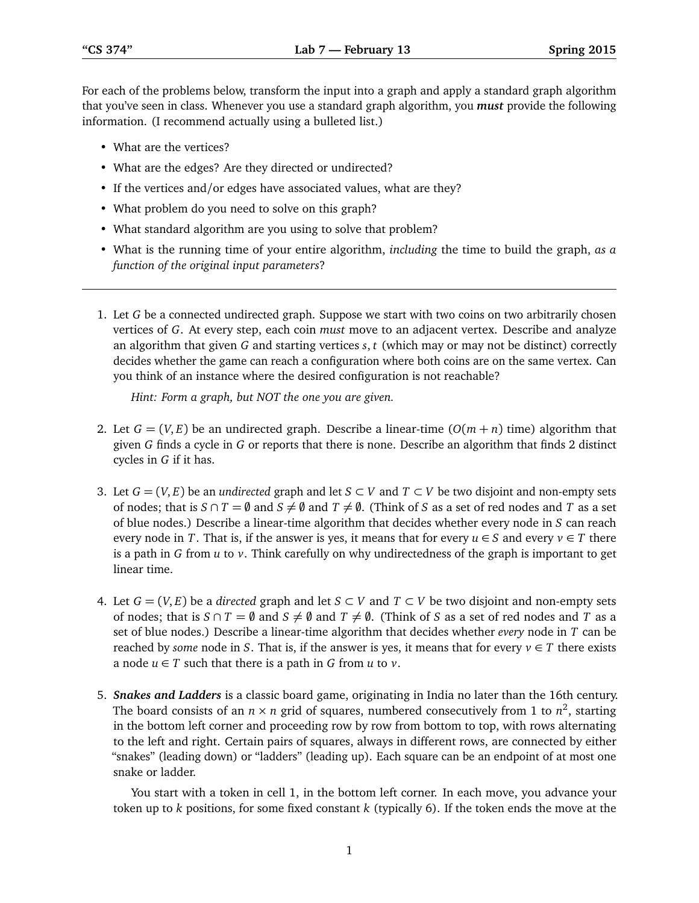For each of the problems below, transform the input into a graph and apply a standard graph algorithm that you've seen in class. Whenever you use a standard graph algorithm, you *must* provide the following information. (I recommend actually using a bulleted list.)

- What are the vertices?
- What are the edges? Are they directed or undirected?
- If the vertices and/or edges have associated values, what are they?
- What problem do you need to solve on this graph?
- What standard algorithm are you using to solve that problem?
- What is the running time of your entire algorithm, *including* the time to build the graph, *as a function of the original input parameters*?
- 1. Let *G* be a connected undirected graph. Suppose we start with two coins on two arbitrarily chosen vertices of *G*. At every step, each coin *must* move to an adjacent vertex. Describe and analyze an algorithm that given *G* and starting vertices *s*, *t* (which may or may not be distinct) correctly decides whether the game can reach a configuration where both coins are on the same vertex. Can you think of an instance where the desired configuration is not reachable?

*Hint: Form a graph, but NOT the one you are given.*

- 2. Let  $G = (V, E)$  be an undirected graph. Describe a linear-time  $(O(m+n))$  time) algorithm that given *G* finds a cycle in *G* or reports that there is none. Describe an algorithm that finds 2 distinct cycles in *G* if it has.
- 3. Let  $G = (V, E)$  be an *undirected* graph and let  $S \subset V$  and  $T \subset V$  be two disjoint and non-empty sets of nodes; that is  $S \cap T = \emptyset$  and  $S \neq \emptyset$  and  $T \neq \emptyset$ . (Think of *S* as a set of red nodes and *T* as a set of blue nodes.) Describe a linear-time algorithm that decides whether every node in *S* can reach every node in *T*. That is, if the answer is yes, it means that for every  $u \in S$  and every  $v \in T$  there is a path in *G* from *u* to *v*. Think carefully on why undirectedness of the graph is important to get linear time.
- 4. Let  $G = (V, E)$  be a *directed* graph and let  $S \subset V$  and  $T \subset V$  be two disjoint and non-empty sets of nodes; that is  $S \cap T = \emptyset$  and  $S \neq \emptyset$  and  $T \neq \emptyset$ . (Think of *S* as a set of red nodes and *T* as a set of blue nodes.) Describe a linear-time algorithm that decides whether *every* node in *T* can be reached by *some* node in *S*. That is, if the answer is yes, it means that for every  $v \in T$  there exists a node  $u \in T$  such that there is a path in *G* from *u* to *v*.
- 5. *Snakes and Ladders* is a classic board game, originating in India no later than the 16th century. The board consists of an  $n \times n$  grid of squares, numbered consecutively from 1 to  $n^2$ , starting in the bottom left corner and proceeding row by row from bottom to top, with rows alternating to the left and right. Certain pairs of squares, always in different rows, are connected by either "snakes" (leading down) or "ladders" (leading up). Each square can be an endpoint of at most one snake or ladder.

You start with a token in cell 1, in the bottom left corner. In each move, you advance your token up to *k* positions, for some fixed constant *k* (typically 6). If the token ends the move at the